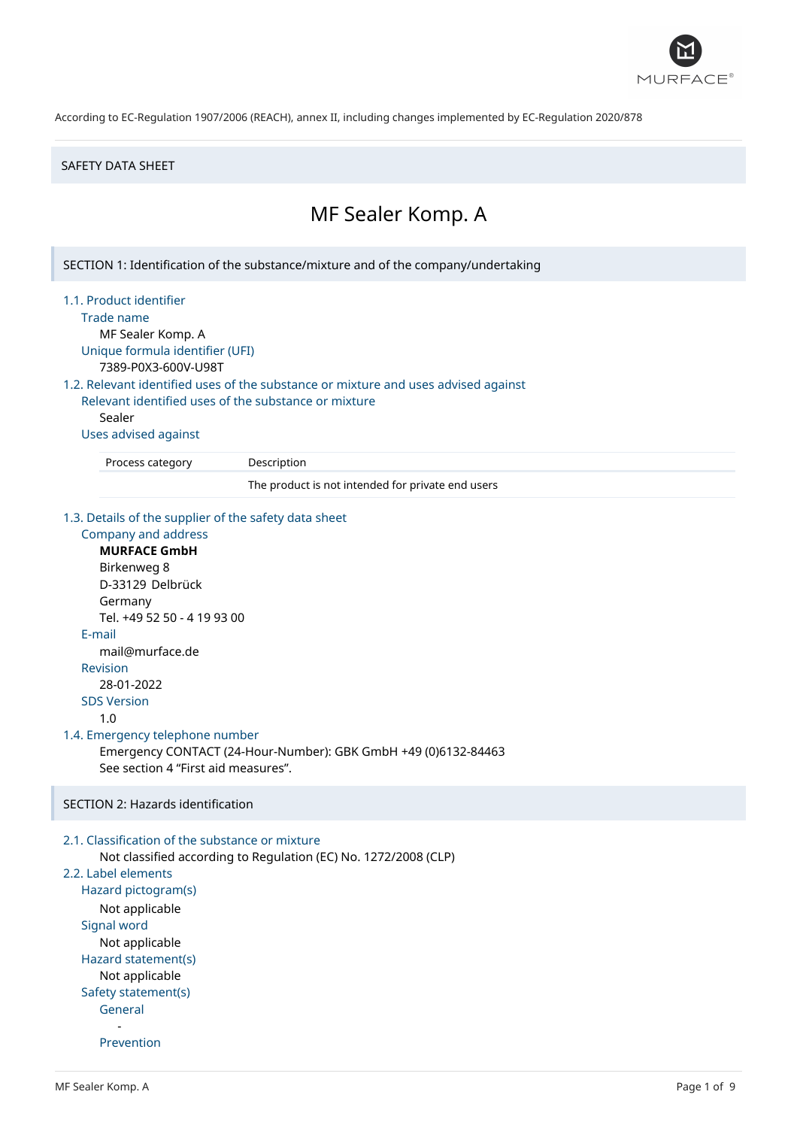

#### SAFETY DATA SHEET

# MF Sealer Komp. A

SECTION 1: Identification of the substance/mixture and of the company/undertaking

1.1. Product identifier

Trade name

MF Sealer Komp. A Unique formula identifier (UFI) 7389-P0X3-600V-U98T

1.2. Relevant identified uses of the substance or mixture and uses advised against

Relevant identified uses of the substance or mixture Sealer

Uses advised against

Process category Description

The product is not intended for private end users

1.3. Details of the supplier of the safety data sheet

```
Company and address
     MURFACE GmbH
     Birkenweg 8
     D-33129 Delbrück
     Germany
     Tel. +49 52 50 - 4 19 93 00
  E-mail
     mail@murface.de
  Revision
      28-01-2022
  SDS Version
     1.0
1.4. Emergency telephone number
     Emergency CONTACT (24-Hour-Number): GBK GmbH +49 (0)6132-84463
     See section 4 "First aid measures".
SECTION 2: Hazards identification
2.1. Classification of the substance or mixture
     Not classified according to Regulation (EC) No. 1272/2008 (CLP)
```
# 2.2. Label elements

Hazard pictogram(s) Not applicable Signal word Not applicable Hazard statement(s) Not applicable Safety statement(s) General -

Prevention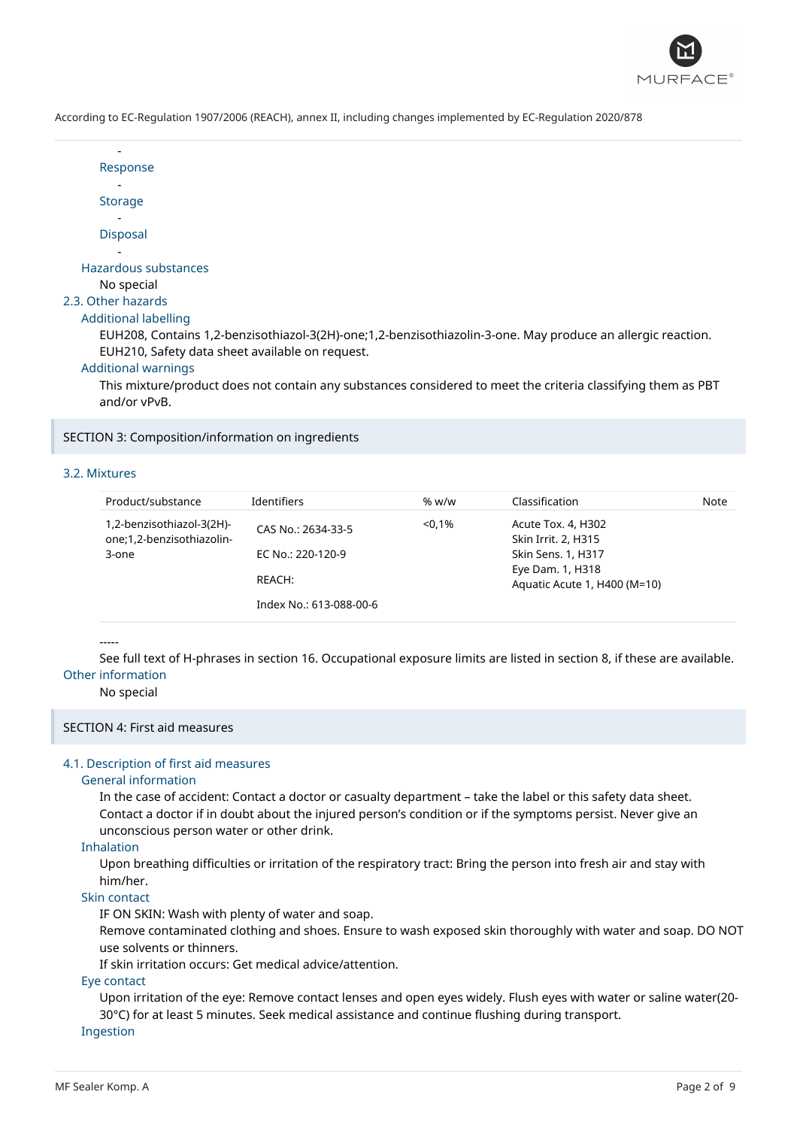

| Response                                                                                                             |
|----------------------------------------------------------------------------------------------------------------------|
|                                                                                                                      |
| <b>Storage</b>                                                                                                       |
|                                                                                                                      |
| <b>Disposal</b>                                                                                                      |
|                                                                                                                      |
| Hazardous substances                                                                                                 |
| No special                                                                                                           |
| 2.3. Other hazards                                                                                                   |
| Additional labelling                                                                                                 |
| EUH208, Contains 1,2-benzisothiazol-3(2H)-one;1,2-benzisothiazolin-3-one. May produce an allergic reaction.          |
| EUH210, Safety data sheet available on request.                                                                      |
| <b>Additional warnings</b>                                                                                           |
| This actually as directed as a series series in classes as seasiled as descriptive satisfies describitorials as a DP |

This mixture/product does not contain any substances considered to meet the criteria classifying them as PBT and/or vPvB.

SECTION 3: Composition/information on ingredients

#### 3.2. Mixtures

-

| Product/substance                                      | <b>Identifiers</b>      | % w/w     | Classification                                   | Note |
|--------------------------------------------------------|-------------------------|-----------|--------------------------------------------------|------|
| 1,2-benzisothiazol-3(2H)-<br>one;1,2-benzisothiazolin- | CAS No.: 2634-33-5      | $< 0.1\%$ | Acute Tox. 4, H302<br>Skin Irrit. 2, H315        |      |
| 3-one                                                  | EC No.: 220-120-9       |           | Skin Sens. 1, H317                               |      |
|                                                        | REACH:                  |           | Eye Dam. 1, H318<br>Aquatic Acute 1, H400 (M=10) |      |
|                                                        | Index No.: 613-088-00-6 |           |                                                  |      |

#### -----

See full text of H-phrases in section 16. Occupational exposure limits are listed in section 8, if these are available. Other information

#### No special

# SECTION 4: First aid measures

# 4.1. Description of first aid measures

#### General information

In the case of accident: Contact a doctor or casualty department – take the label or this safety data sheet. Contact a doctor if in doubt about the injured person's condition or if the symptoms persist. Never give an unconscious person water or other drink.

#### Inhalation

Upon breathing difficulties or irritation of the respiratory tract: Bring the person into fresh air and stay with him/her.

#### Skin contact

IF ON SKIN: Wash with plenty of water and soap.

Remove contaminated clothing and shoes. Ensure to wash exposed skin thoroughly with water and soap. DO NOT use solvents or thinners.

If skin irritation occurs: Get medical advice/attention.

#### Eye contact

Upon irritation of the eye: Remove contact lenses and open eyes widely. Flush eyes with water or saline water(20- 30°C) for at least 5 minutes. Seek medical assistance and continue flushing during transport.

Ingestion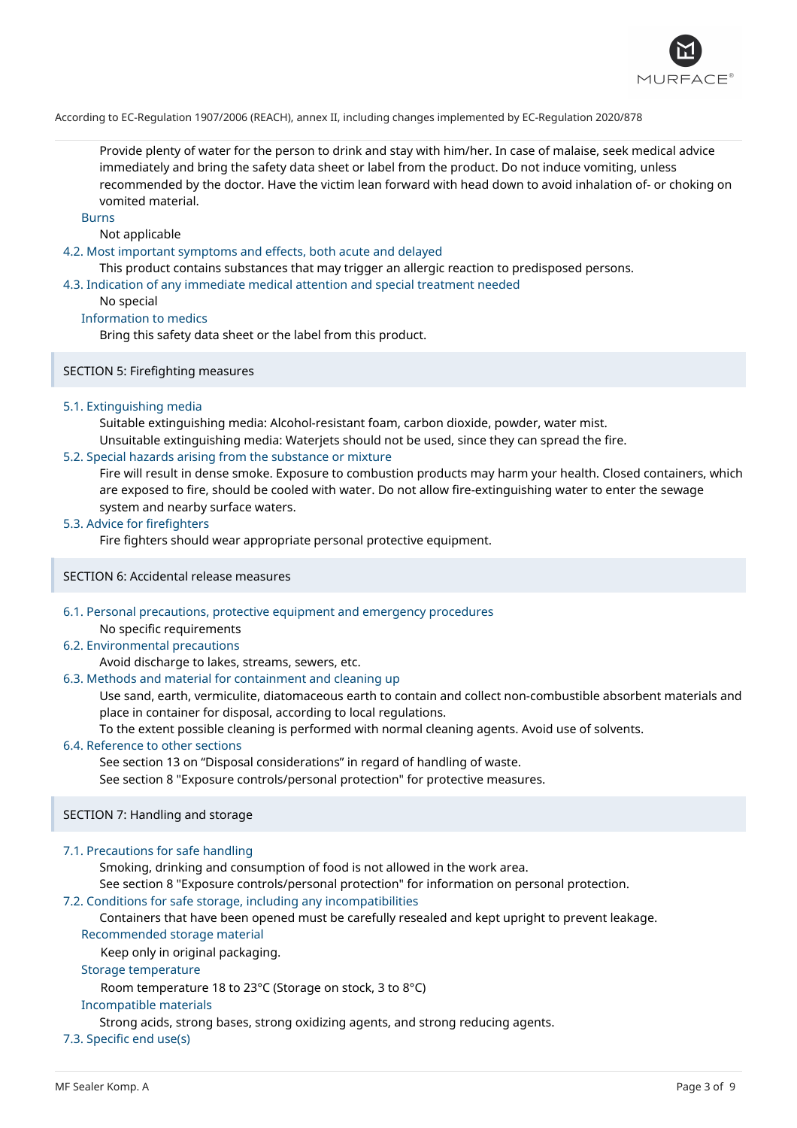

Provide plenty of water for the person to drink and stay with him/her. In case of malaise, seek medical advice immediately and bring the safety data sheet or label from the product. Do not induce vomiting, unless recommended by the doctor. Have the victim lean forward with head down to avoid inhalation of- or choking on vomited material.

Burns

### Not applicable

### 4.2. Most important symptoms and effects, both acute and delayed

This product contains substances that may trigger an allergic reaction to predisposed persons.

#### 4.3. Indication of any immediate medical attention and special treatment needed

### No special

# Information to medics

Bring this safety data sheet or the label from this product.

### SECTION 5: Firefighting measures

### 5.1. Extinguishing media

Suitable extinguishing media: Alcohol-resistant foam, carbon dioxide, powder, water mist.

Unsuitable extinguishing media: Waterjets should not be used, since they can spread the fire.

### 5.2. Special hazards arising from the substance or mixture

Fire will result in dense smoke. Exposure to combustion products may harm your health. Closed containers, which are exposed to fire, should be cooled with water. Do not allow fire-extinguishing water to enter the sewage system and nearby surface waters.

# 5.3. Advice for firefighters

Fire fighters should wear appropriate personal protective equipment.

#### SECTION 6: Accidental release measures

6.1. Personal precautions, protective equipment and emergency procedures No specific requirements

#### 6.2. Environmental precautions

# Avoid discharge to lakes, streams, sewers, etc.

6.3. Methods and material for containment and cleaning up

Use sand, earth, vermiculite, diatomaceous earth to contain and collect non-combustible absorbent materials and place in container for disposal, according to local regulations.

To the extent possible cleaning is performed with normal cleaning agents. Avoid use of solvents.

# 6.4. Reference to other sections

See section 13 on "Disposal considerations" in regard of handling of waste.

See section 8 "Exposure controls/personal protection" for protective measures.

# SECTION 7: Handling and storage

# 7.1. Precautions for safe handling

Smoking, drinking and consumption of food is not allowed in the work area.

See section 8 "Exposure controls/personal protection" for information on personal protection.

# 7.2. Conditions for safe storage, including any incompatibilities

Containers that have been opened must be carefully resealed and kept upright to prevent leakage.

### Recommended storage material

Keep only in original packaging.

# Storage temperature

Room temperature 18 to 23°C (Storage on stock, 3 to 8°C)

### Incompatible materials

Strong acids, strong bases, strong oxidizing agents, and strong reducing agents.

# 7.3. Specific end use(s)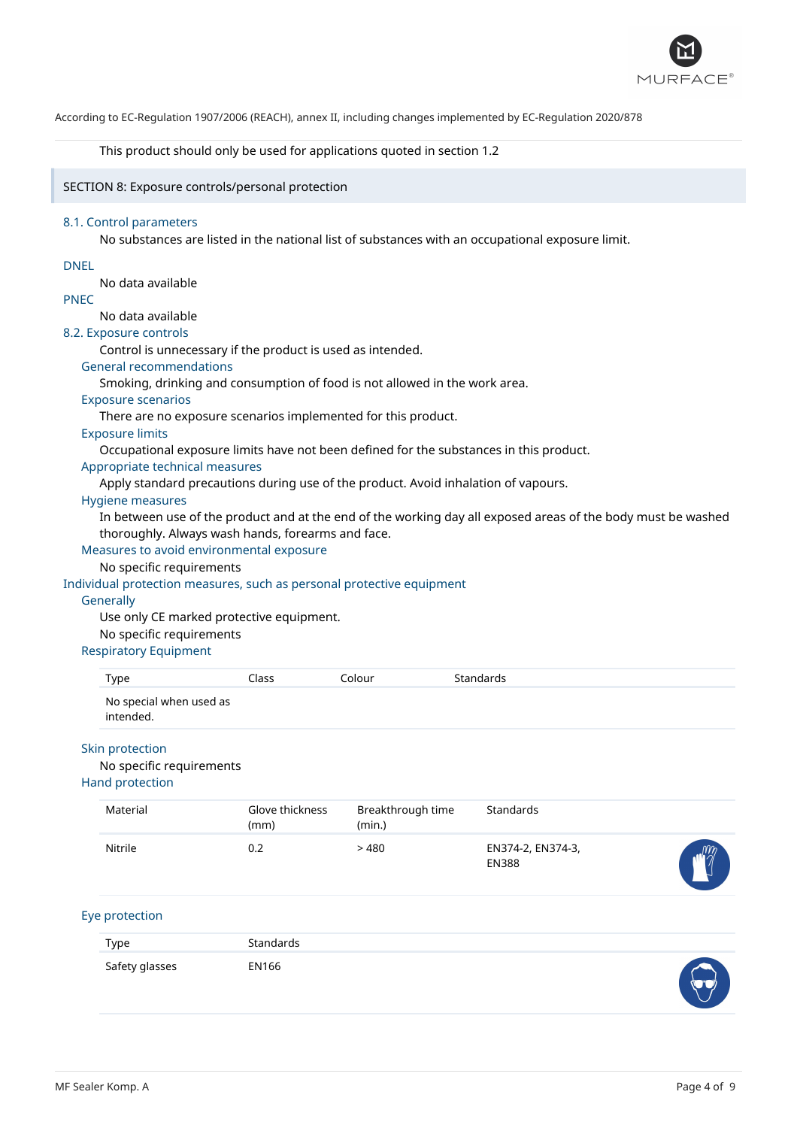

This product should only be used for applications quoted in section 1.2

SECTION 8: Exposure controls/personal protection

#### 8.1. Control parameters

No substances are listed in the national list of substances with an occupational exposure limit.

#### DNEL

No data available

# PNEC

No data available

#### 8.2. Exposure controls

Control is unnecessary if the product is used as intended.

# General recommendations

Smoking, drinking and consumption of food is not allowed in the work area.

### Exposure scenarios

There are no exposure scenarios implemented for this product.

# Exposure limits

Occupational exposure limits have not been defined for the substances in this product.

# Appropriate technical measures

Apply standard precautions during use of the product. Avoid inhalation of vapours.

#### Hygiene measures

In between use of the product and at the end of the working day all exposed areas of the body must be washed thoroughly. Always wash hands, forearms and face.

# Measures to avoid environmental exposure

# No specific requirements

# Individual protection measures, such as personal protective equipment

#### **Generally**

Use only CE marked protective equipment.

#### No specific requirements

## Respiratory Equipment

|  | Type                                                           | Class                   | Colour                      | Standards        |
|--|----------------------------------------------------------------|-------------------------|-----------------------------|------------------|
|  | No special when used as<br>intended.                           |                         |                             |                  |
|  | Skin protection<br>No specific requirements<br>Hand protection |                         |                             |                  |
|  | Material                                                       | Glove thickness<br>(mm) | Breakthrough time<br>(min.) | <b>Standards</b> |

|         | (mm) | (min.) |                                   |                 |
|---------|------|--------|-----------------------------------|-----------------|
| Nitrile | U.Z  | 480    | EN374-2, EN374-3,<br><b>EN388</b> | $m_{\tilde{z}}$ |

# Eye protection

| Type           | Standards |                                              |
|----------------|-----------|----------------------------------------------|
| Safety glasses | EN166     | $\blacktriangleleft$<br><b><i>Summer</i></b> |

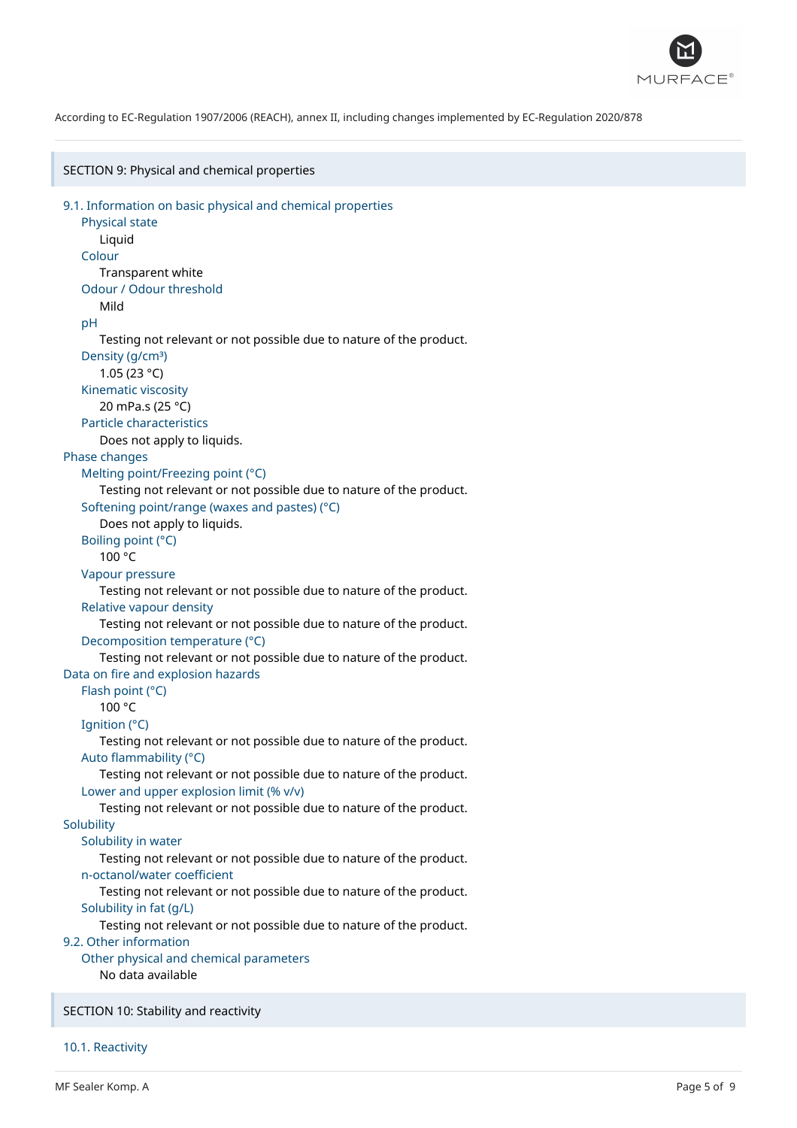

SECTION 9: Physical and chemical properties 9.1. Information on basic physical and chemical properties Physical state Liquid Colour Transparent white Odour / Odour threshold Mild pH Testing not relevant or not possible due to nature of the product. Density (g/cm<sup>3</sup>) 1.05 (23 °C) Kinematic viscosity 20 mPa.s (25 °C) Particle characteristics Does not apply to liquids. Phase changes Melting point/Freezing point (°C) Testing not relevant or not possible due to nature of the product. Softening point/range (waxes and pastes) (°C) Does not apply to liquids. Boiling point (°C) 100 °C Vapour pressure Testing not relevant or not possible due to nature of the product. Relative vapour density Testing not relevant or not possible due to nature of the product. Decomposition temperature (°C) Testing not relevant or not possible due to nature of the product. Data on fire and explosion hazards Flash point (°C) 100 °C Ignition (°C) Testing not relevant or not possible due to nature of the product. Auto flammability (°C) Testing not relevant or not possible due to nature of the product. Lower and upper explosion limit (% v/v) Testing not relevant or not possible due to nature of the product. **Solubility** Solubility in water Testing not relevant or not possible due to nature of the product. n-octanol/water coefficient Testing not relevant or not possible due to nature of the product. Solubility in fat (g/L) Testing not relevant or not possible due to nature of the product. 9.2. Other information Other physical and chemical parameters No data available SECTION 10: Stability and reactivity

10.1. Reactivity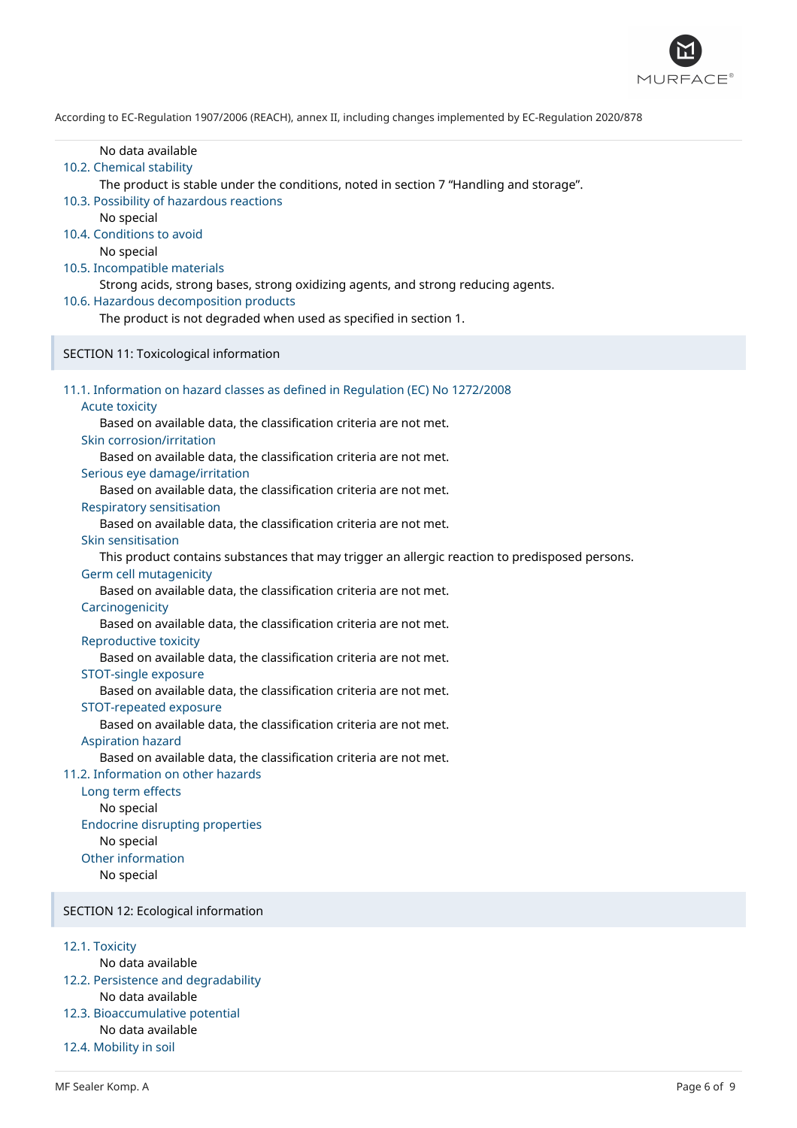

| No data available<br>10.2. Chemical stability<br>The product is stable under the conditions, noted in section 7 "Handling and storage".<br>10.3. Possibility of hazardous reactions<br>No special<br>10.4. Conditions to avoid<br>No special<br>10.5. Incompatible materials<br>Strong acids, strong bases, strong oxidizing agents, and strong reducing agents.<br>10.6. Hazardous decomposition products<br>The product is not degraded when used as specified in section 1.                                                                                                                                                                                                                                                                                                                                                                                                                                                                                                                                                                                                                                                                                                                                                                                                                                                                                              |
|-----------------------------------------------------------------------------------------------------------------------------------------------------------------------------------------------------------------------------------------------------------------------------------------------------------------------------------------------------------------------------------------------------------------------------------------------------------------------------------------------------------------------------------------------------------------------------------------------------------------------------------------------------------------------------------------------------------------------------------------------------------------------------------------------------------------------------------------------------------------------------------------------------------------------------------------------------------------------------------------------------------------------------------------------------------------------------------------------------------------------------------------------------------------------------------------------------------------------------------------------------------------------------------------------------------------------------------------------------------------------------|
| SECTION 11: Toxicological information                                                                                                                                                                                                                                                                                                                                                                                                                                                                                                                                                                                                                                                                                                                                                                                                                                                                                                                                                                                                                                                                                                                                                                                                                                                                                                                                       |
| 11.1. Information on hazard classes as defined in Regulation (EC) No 1272/2008<br><b>Acute toxicity</b><br>Based on available data, the classification criteria are not met.<br>Skin corrosion/irritation<br>Based on available data, the classification criteria are not met.<br>Serious eye damage/irritation<br>Based on available data, the classification criteria are not met.<br><b>Respiratory sensitisation</b><br>Based on available data, the classification criteria are not met.<br>Skin sensitisation<br>This product contains substances that may trigger an allergic reaction to predisposed persons.<br>Germ cell mutagenicity<br>Based on available data, the classification criteria are not met.<br>Carcinogenicity<br>Based on available data, the classification criteria are not met.<br>Reproductive toxicity<br>Based on available data, the classification criteria are not met.<br>STOT-single exposure<br>Based on available data, the classification criteria are not met.<br>STOT-repeated exposure<br>Based on available data, the classification criteria are not met.<br><b>Aspiration hazard</b><br>Based on available data, the classification criteria are not met.<br>11.2. Information on other hazards<br>Long term effects<br>No special<br><b>Endocrine disrupting properties</b><br>No special<br>Other information<br>No special |
| SECTION 12: Ecological information                                                                                                                                                                                                                                                                                                                                                                                                                                                                                                                                                                                                                                                                                                                                                                                                                                                                                                                                                                                                                                                                                                                                                                                                                                                                                                                                          |
| 12.1. Toxicity                                                                                                                                                                                                                                                                                                                                                                                                                                                                                                                                                                                                                                                                                                                                                                                                                                                                                                                                                                                                                                                                                                                                                                                                                                                                                                                                                              |

No data available

- 12.2. Persistence and degradability No data available
- 12.3. Bioaccumulative potential No data available
- 12.4. Mobility in soil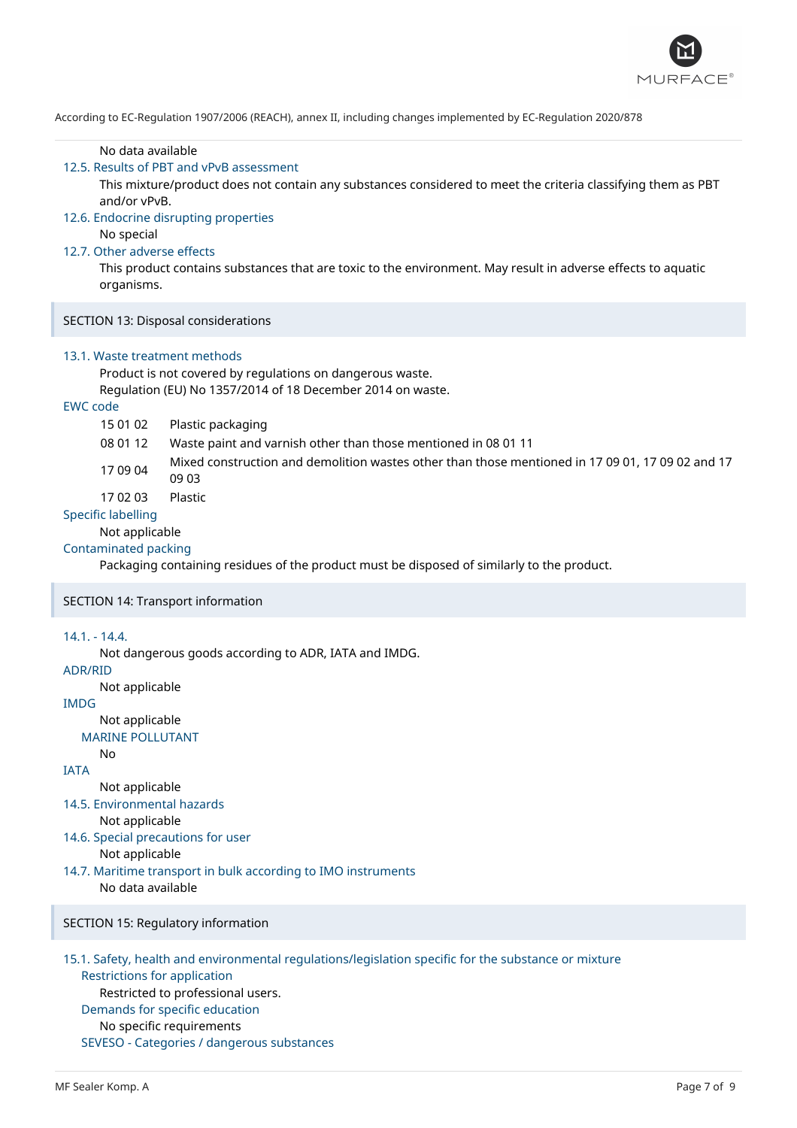

#### No data available

#### 12.5. Results of PBT and vPvB assessment

This mixture/product does not contain any substances considered to meet the criteria classifying them as PBT and/or vPvB.

#### 12.6. Endocrine disrupting properties

No special

#### 12.7. Other adverse effects

This product contains substances that are toxic to the environment. May result in adverse effects to aquatic organisms.

# SECTION 13: Disposal considerations

#### 13.1. Waste treatment methods

Product is not covered by regulations on dangerous waste.

Regulation (EU) No 1357/2014 of 18 December 2014 on waste.

# EWC code

- 15 01 02 Plastic packaging
- 08 01 12 Waste paint and varnish other than those mentioned in 08 01 11
- 17 09 04 Mixed construction and demolition wastes other than those mentioned in 17 09 01, 17 09 02 and 17 09 03

17 02 03 Plastic

#### Specific labelling

Not applicable

### Contaminated packing

Packaging containing residues of the product must be disposed of similarly to the product.

#### SECTION 14: Transport information

#### 14.1. - 14.4.

Not dangerous goods according to ADR, IATA and IMDG.

# ADR/RID

Not applicable

# IMDG

Not applicable

# MARINE POLLUTANT

No

#### IATA Not applicable

14.5. Environmental hazards

Not applicable

14.6. Special precautions for user

# Not applicable

14.7. Maritime transport in bulk according to IMO instruments No data available

SECTION 15: Regulatory information

# 15.1. Safety, health and environmental regulations/legislation specific for the substance or mixture Restrictions for application Restricted to professional users. Demands for specific education No specific requirements SEVESO - Categories / dangerous substances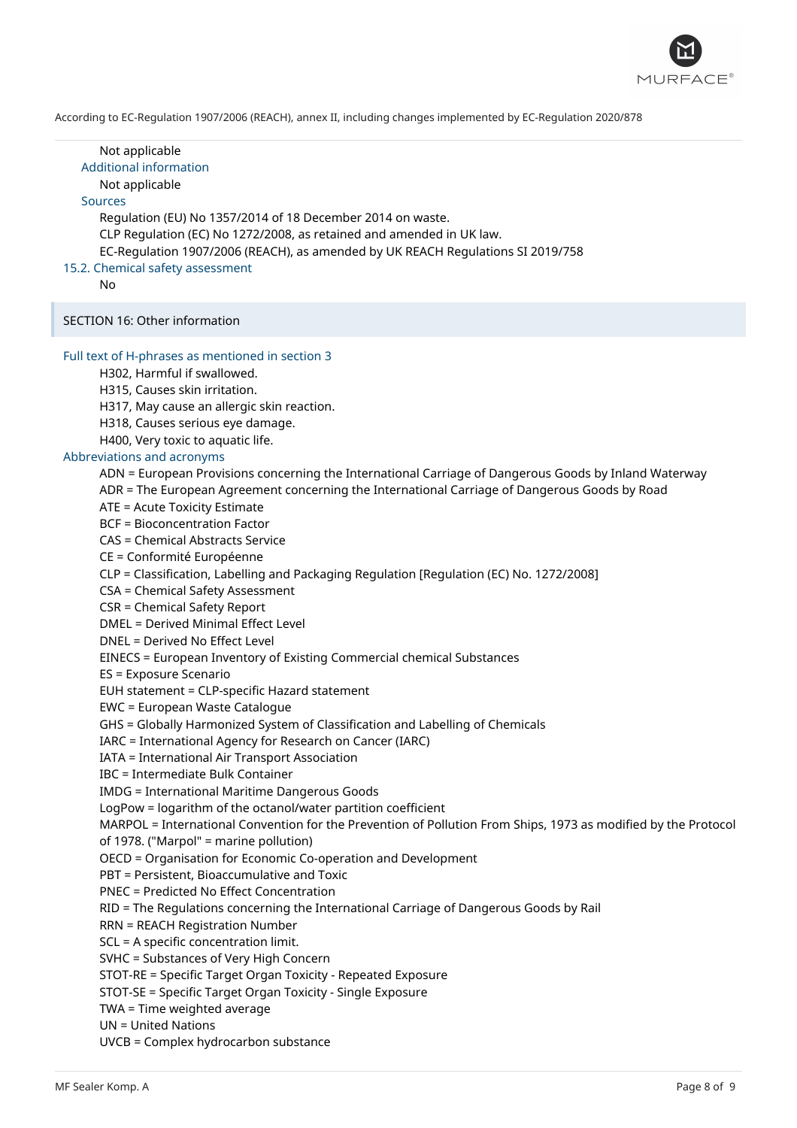

| Not applicable<br><b>Additional information</b><br>Not applicable<br><b>Sources</b><br>Regulation (EU) No 1357/2014 of 18 December 2014 on waste.<br>CLP Regulation (EC) No 1272/2008, as retained and amended in UK law.<br>EC-Regulation 1907/2006 (REACH), as amended by UK REACH Regulations SI 2019/758<br>15.2. Chemical safety assessment<br>No                                                                                                                                                                                                                                                                                                                                                                                                                                                                                                                                                                                                                                                                                                                                                                                                                                                                                                                                                                                                                                                                                                                                                                                                                                                                                                                                                                                                                                                                                                                                                                                                                                                                                                                                                                                                                                                                                               |
|------------------------------------------------------------------------------------------------------------------------------------------------------------------------------------------------------------------------------------------------------------------------------------------------------------------------------------------------------------------------------------------------------------------------------------------------------------------------------------------------------------------------------------------------------------------------------------------------------------------------------------------------------------------------------------------------------------------------------------------------------------------------------------------------------------------------------------------------------------------------------------------------------------------------------------------------------------------------------------------------------------------------------------------------------------------------------------------------------------------------------------------------------------------------------------------------------------------------------------------------------------------------------------------------------------------------------------------------------------------------------------------------------------------------------------------------------------------------------------------------------------------------------------------------------------------------------------------------------------------------------------------------------------------------------------------------------------------------------------------------------------------------------------------------------------------------------------------------------------------------------------------------------------------------------------------------------------------------------------------------------------------------------------------------------------------------------------------------------------------------------------------------------------------------------------------------------------------------------------------------------|
| SECTION 16: Other information                                                                                                                                                                                                                                                                                                                                                                                                                                                                                                                                                                                                                                                                                                                                                                                                                                                                                                                                                                                                                                                                                                                                                                                                                                                                                                                                                                                                                                                                                                                                                                                                                                                                                                                                                                                                                                                                                                                                                                                                                                                                                                                                                                                                                        |
| Full text of H-phrases as mentioned in section 3<br>H302, Harmful if swallowed.<br>H315, Causes skin irritation.<br>H317, May cause an allergic skin reaction.<br>H318, Causes serious eye damage.<br>H400, Very toxic to aquatic life.<br>Abbreviations and acronyms<br>ADN = European Provisions concerning the International Carriage of Dangerous Goods by Inland Waterway<br>ADR = The European Agreement concerning the International Carriage of Dangerous Goods by Road<br>ATE = Acute Toxicity Estimate<br><b>BCF = Bioconcentration Factor</b><br><b>CAS = Chemical Abstracts Service</b><br>CE = Conformité Européenne<br>CLP = Classification, Labelling and Packaging Regulation [Regulation (EC) No. 1272/2008]<br>CSA = Chemical Safety Assessment<br><b>CSR = Chemical Safety Report</b><br><b>DMEL = Derived Minimal Effect Level</b><br>DNEL = Derived No Effect Level<br>EINECS = European Inventory of Existing Commercial chemical Substances<br>ES = Exposure Scenario<br>EUH statement = CLP-specific Hazard statement<br>EWC = European Waste Catalogue<br>GHS = Globally Harmonized System of Classification and Labelling of Chemicals<br>IARC = International Agency for Research on Cancer (IARC)<br>IATA = International Air Transport Association<br><b>IBC</b> = Intermediate Bulk Container<br><b>IMDG = International Maritime Dangerous Goods</b><br>LogPow = logarithm of the octanol/water partition coefficient<br>MARPOL = International Convention for the Prevention of Pollution From Ships, 1973 as modified by the Protocol<br>of 1978. ("Marpol" = marine pollution)<br>OECD = Organisation for Economic Co-operation and Development<br>PBT = Persistent, Bioaccumulative and Toxic<br><b>PNEC = Predicted No Effect Concentration</b><br>RID = The Regulations concerning the International Carriage of Dangerous Goods by Rail<br><b>RRN = REACH Registration Number</b><br>SCL = A specific concentration limit.<br>SVHC = Substances of Very High Concern<br>STOT-RE = Specific Target Organ Toxicity - Repeated Exposure<br>STOT-SE = Specific Target Organ Toxicity - Single Exposure<br>TWA = Time weighted average<br><b>UN = United Nations</b><br><b>UVCB = Complex hydrocarbon substance</b> |
|                                                                                                                                                                                                                                                                                                                                                                                                                                                                                                                                                                                                                                                                                                                                                                                                                                                                                                                                                                                                                                                                                                                                                                                                                                                                                                                                                                                                                                                                                                                                                                                                                                                                                                                                                                                                                                                                                                                                                                                                                                                                                                                                                                                                                                                      |